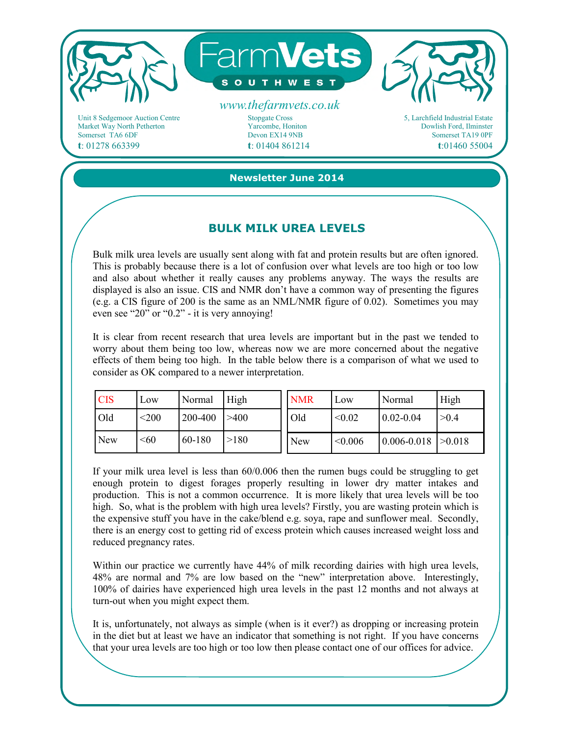

Market Way North Petherton Somerset TA6 6DF **t**: 01278 663399

Yarcombe, Honiton Devon EX14 9NB **t**: 01404 861214

Dowlish Ford, Ilminster Somerset TA19 0PF **t**:01460 55004

**Newsletter June 2014** 

## **BULK MILK UREA LEVELS**

Bulk milk urea levels are usually sent along with fat and protein results but are often ignored. This is probably because there is a lot of confusion over what levels are too high or too low and also about whether it really causes any problems anyway. The ways the results are displayed is also an issue. CIS and NMR don't have a common way of presenting the figures (e.g. a CIS figure of 200 is the same as an NML/NMR figure of 0.02). Sometimes you may even see "20" or "0.2" - it is very annoying!

It is clear from recent research that urea levels are important but in the past we tended to worry about them being too low, whereas now we are more concerned about the negative effects of them being too high. In the table below there is a comparison of what we used to consider as OK compared to a newer interpretation.

| <b>CIS</b> | Low     | Normal  | High | <b>NMR</b> | Low     | Normal          | High   |
|------------|---------|---------|------|------------|---------|-----------------|--------|
| Old        | $<$ 200 | 200-400 | >400 | Old        | < 0.02  | $0.02 - 0.04$   | >0.4   |
| <b>New</b> | < 60    | 60-180  | >180 | <b>New</b> | < 0.006 | $0.006 - 0.018$ | >0.018 |

If your milk urea level is less than 60/0.006 then the rumen bugs could be struggling to get enough protein to digest forages properly resulting in lower dry matter intakes and production. This is not a common occurrence. It is more likely that urea levels will be too high. So, what is the problem with high urea levels? Firstly, you are wasting protein which is the expensive stuff you have in the cake/blend e.g. soya, rape and sunflower meal. Secondly, there is an energy cost to getting rid of excess protein which causes increased weight loss and reduced pregnancy rates.

Within our practice we currently have 44% of milk recording dairies with high urea levels, 48% are normal and 7% are low based on the "new" interpretation above. Interestingly, 100% of dairies have experienced high urea levels in the past 12 months and not always at turn-out when you might expect them.

It is, unfortunately, not always as simple (when is it ever?) as dropping or increasing protein in the diet but at least we have an indicator that something is not right. If you have concerns that your urea levels are too high or too low then please contact one of our offices for advice.